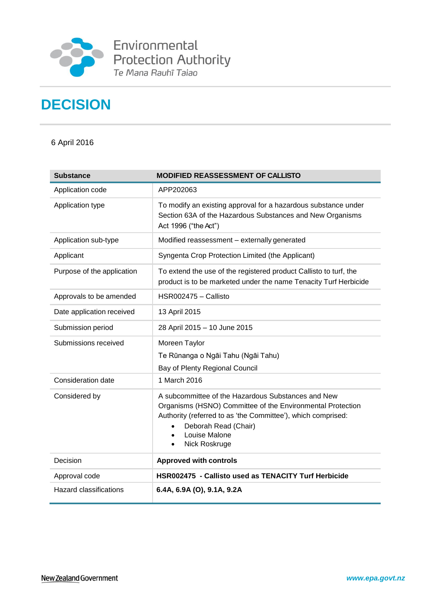

**Environmental**<br>Protection Authority<br>Te Mana Rauhī Taiao

# **DECISION**

6 April 2016

| <b>Substance</b>              | <b>MODIFIED REASSESSMENT OF CALLISTO</b>                                                                                                                                                                                                   |
|-------------------------------|--------------------------------------------------------------------------------------------------------------------------------------------------------------------------------------------------------------------------------------------|
| Application code              | APP202063                                                                                                                                                                                                                                  |
| Application type              | To modify an existing approval for a hazardous substance under<br>Section 63A of the Hazardous Substances and New Organisms<br>Act 1996 ("the Act")                                                                                        |
| Application sub-type          | Modified reassessment - externally generated                                                                                                                                                                                               |
| Applicant                     | Syngenta Crop Protection Limited (the Applicant)                                                                                                                                                                                           |
| Purpose of the application    | To extend the use of the registered product Callisto to turf, the<br>product is to be marketed under the name Tenacity Turf Herbicide                                                                                                      |
| Approvals to be amended       | HSR002475 - Callisto                                                                                                                                                                                                                       |
| Date application received     | 13 April 2015                                                                                                                                                                                                                              |
| Submission period             | 28 April 2015 - 10 June 2015                                                                                                                                                                                                               |
| Submissions received          | Moreen Taylor<br>Te Rūnanga o Ngāi Tahu (Ngāi Tahu)<br>Bay of Plenty Regional Council                                                                                                                                                      |
| Consideration date            | 1 March 2016                                                                                                                                                                                                                               |
| Considered by                 | A subcommittee of the Hazardous Substances and New<br>Organisms (HSNO) Committee of the Environmental Protection<br>Authority (referred to as 'the Committee'), which comprised:<br>Deborah Read (Chair)<br>Louise Malone<br>Nick Roskruge |
| Decision                      | <b>Approved with controls</b>                                                                                                                                                                                                              |
| Approval code                 | HSR002475 - Callisto used as TENACITY Turf Herbicide                                                                                                                                                                                       |
| <b>Hazard classifications</b> | 6.4A, 6.9A (O), 9.1A, 9.2A                                                                                                                                                                                                                 |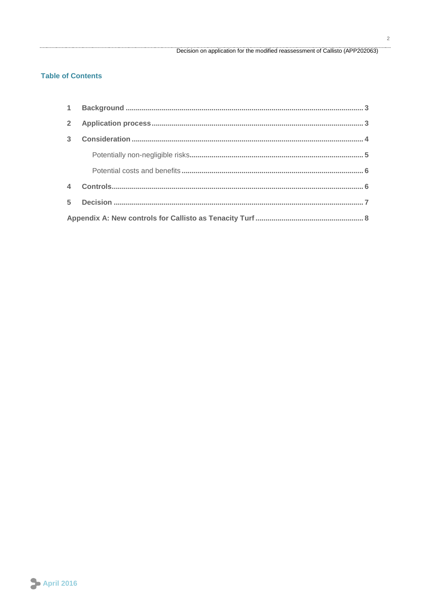#### Decision on application for the modified reassessment of Callisto (APP202063)

#### **Table of Contents**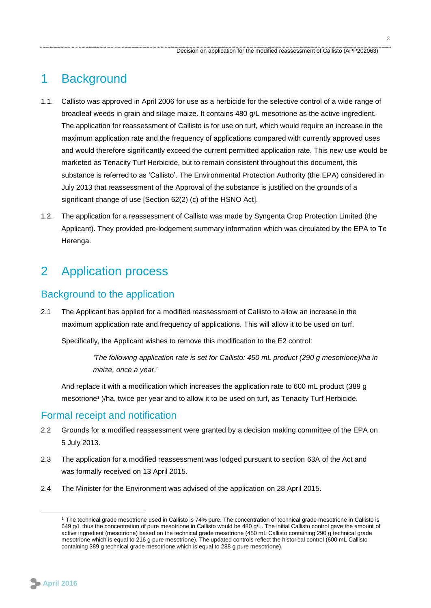### <span id="page-2-0"></span>1 Background

- 1.1. Callisto was approved in April 2006 for use as a herbicide for the selective control of a wide range of broadleaf weeds in grain and silage maize. It contains 480 g/L mesotrione as the active ingredient. The application for reassessment of Callisto is for use on turf, which would require an increase in the maximum application rate and the frequency of applications compared with currently approved uses and would therefore significantly exceed the current permitted application rate. This new use would be marketed as Tenacity Turf Herbicide, but to remain consistent throughout this document, this substance is referred to as 'Callisto'. The Environmental Protection Authority (the EPA) considered in July 2013 that reassessment of the Approval of the substance is justified on the grounds of a significant change of use [Section 62(2) (c) of the HSNO Act].
- 1.2. The application for a reassessment of Callisto was made by Syngenta Crop Protection Limited (the Applicant). They provided pre-lodgement summary information which was circulated by the EPA to Te Herenga.

### <span id="page-2-1"></span>2 Application process

#### Background to the application

2.1 The Applicant has applied for a modified reassessment of Callisto to allow an increase in the maximum application rate and frequency of applications. This will allow it to be used on turf.

Specifically, the Applicant wishes to remove this modification to the E2 control:

*'The following application rate is set for Callisto: 450 mL product (290 g mesotrione)/ha in maize, once a year*.'

And replace it with a modification which increases the application rate to 600 mL product (389 g mesotrione<sup>1</sup> )/ha, twice per year and to allow it to be used on turf, as Tenacity Turf Herbicide.

#### Formal receipt and notification

- 2.2 Grounds for a modified reassessment were granted by a decision making committee of the EPA on 5 July 2013.
- 2.3 The application for a modified reassessment was lodged pursuant to section 63A of the Act and was formally received on 13 April 2015.
- 2.4 The Minister for the Environment was advised of the application on 28 April 2015.



<u>.</u>

<sup>1</sup> The technical grade mesotrione used in Callisto is 74% pure. The concentration of technical grade mesotrione in Callisto is 649 g/L thus the concentration of pure mesotrione in Callisto would be 480 g/L. The initial Callisto control gave the amount of active ingredient (mesotrione) based on the technical grade mesotrione (450 mL Callisto containing 290 g technical grade mesotrione which is equal to 216 g pure mesotrione). The updated controls reflect the historical control (600 mL Callisto containing 389 g technical grade mesotrione which is equal to 288 g pure mesotrione).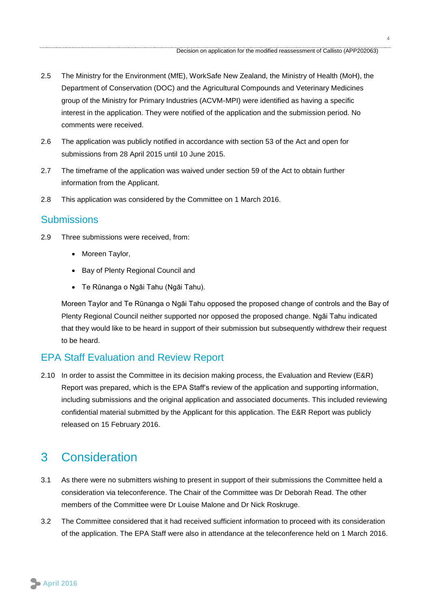- 2.5 The Ministry for the Environment (MfE), WorkSafe New Zealand, the Ministry of Health (MoH), the Department of Conservation (DOC) and the Agricultural Compounds and Veterinary Medicines group of the Ministry for Primary Industries (ACVM-MPI) were identified as having a specific interest in the application. They were notified of the application and the submission period. No comments were received.
- 2.6 The application was publicly notified in accordance with section 53 of the Act and open for submissions from 28 April 2015 until 10 June 2015.
- 2.7 The timeframe of the application was waived under section 59 of the Act to obtain further information from the Applicant.
- 2.8 This application was considered by the Committee on 1 March 2016.

### **Submissions**

- 2.9 Three submissions were received, from:
	- Moreen Taylor,
	- Bay of Plenty Regional Council and
	- Te Rūnanga o Ngāi Tahu (Ngāi Tahu).

Moreen Taylor and Te Rūnanga o Ngāi Tahu opposed the proposed change of controls and the Bay of Plenty Regional Council neither supported nor opposed the proposed change. Ngāi Tahu indicated that they would like to be heard in support of their submission but subsequently withdrew their request to be heard.

### EPA Staff Evaluation and Review Report

2.10 In order to assist the Committee in its decision making process, the Evaluation and Review (E&R) Report was prepared, which is the EPA Staff's review of the application and supporting information, including submissions and the original application and associated documents. This included reviewing confidential material submitted by the Applicant for this application. The E&R Report was publicly released on 15 February 2016.

## <span id="page-3-0"></span>3 Consideration

- 3.1 As there were no submitters wishing to present in support of their submissions the Committee held a consideration via teleconference. The Chair of the Committee was Dr Deborah Read. The other members of the Committee were Dr Louise Malone and Dr Nick Roskruge.
- 3.2 The Committee considered that it had received sufficient information to proceed with its consideration of the application. The EPA Staff were also in attendance at the teleconference held on 1 March 2016.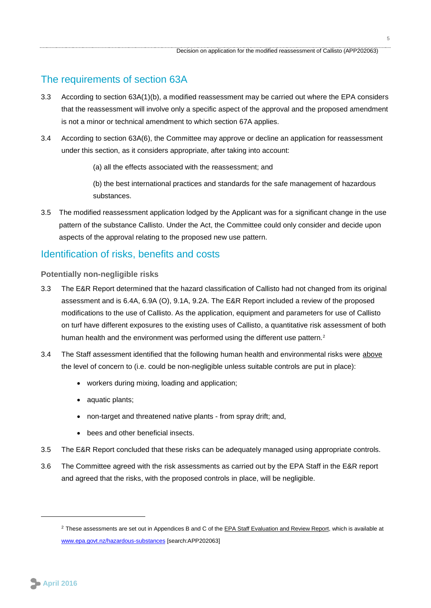### The requirements of section 63A

- 3.3 According to section 63A(1)(b), a modified reassessment may be carried out where the EPA considers that the reassessment will involve only a specific aspect of the approval and the proposed amendment is not a minor or technical amendment to which section 67A applies.
- 3.4 According to section 63A(6), the Committee may approve or decline an application for reassessment under this section, as it considers appropriate, after taking into account:
	- (a) all the effects associated with the reassessment; and

(b) the best international practices and standards for the safe management of hazardous substances.

3.5 The modified reassessment application lodged by the Applicant was for a significant change in the use pattern of the substance Callisto. Under the Act, the Committee could only consider and decide upon aspects of the approval relating to the proposed new use pattern.

#### Identification of risks, benefits and costs

<span id="page-4-0"></span>**Potentially non-negligible risks**

- 3.3 The E&R Report determined that the hazard classification of Callisto had not changed from its original assessment and is 6.4A, 6.9A (O), 9.1A, 9.2A. The E&R Report included a review of the proposed modifications to the use of Callisto. As the application, equipment and parameters for use of Callisto on turf have different exposures to the existing uses of Callisto, a quantitative risk assessment of both human health and the environment was performed using the different use pattern.<sup>2</sup>
- 3.4 The Staff assessment identified that the following human health and environmental risks were above the level of concern to (i.e. could be non-negligible unless suitable controls are put in place):
	- workers during mixing, loading and application;
	- aquatic plants;
	- non-target and threatened native plants from spray drift; and,
	- bees and other beneficial insects.
- 3.5 The E&R Report concluded that these risks can be adequately managed using appropriate controls.
- 3.6 The Committee agreed with the risk assessments as carried out by the EPA Staff in the E&R report and agreed that the risks, with the proposed controls in place, will be negligible.

<span id="page-4-1"></span>1

<sup>&</sup>lt;sup>2</sup> These assessments are set out in Appendices B and C of the **EPA Staff Evaluation and Review Report**, which is available at [www.epa.govt.nz/hazardous-substances](http://www.epa.govt.nz/hazardous-substances) [search:APP202063]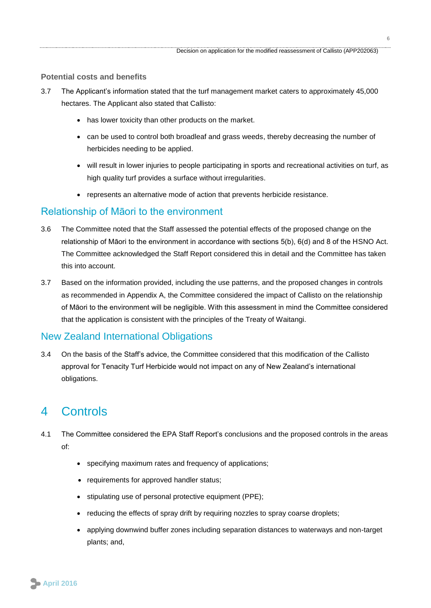#### **Potential costs and benefits**

- 3.7 The Applicant's information stated that the turf management market caters to approximately 45,000 hectares. The Applicant also stated that Callisto:
	- has lower toxicity than other products on the market.
	- can be used to control both broadleaf and grass weeds, thereby decreasing the number of herbicides needing to be applied.
	- will result in lower injuries to people participating in sports and recreational activities on turf, as high quality turf provides a surface without irregularities.
	- represents an alternative mode of action that prevents herbicide resistance.

### Relationship of Māori to the environment

- 3.6 The Committee noted that the Staff assessed the potential effects of the proposed change on the relationship of Māori to the environment in accordance with sections 5(b), 6(d) and 8 of the HSNO Act. The Committee acknowledged the Staff Report considered this in detail and the Committee has taken this into account.
- 3.7 Based on the information provided, including the use patterns, and the proposed changes in controls as recommended in Appendix A, the Committee considered the impact of Callisto on the relationship of Māori to the environment will be negligible. With this assessment in mind the Committee considered that the application is consistent with the principles of the Treaty of Waitangi.

### New Zealand International Obligations

3.4 On the basis of the Staff's advice, the Committee considered that this modification of the Callisto approval for Tenacity Turf Herbicide would not impact on any of New Zealand's international obligations.

## <span id="page-5-0"></span>4 Controls

- 4.1 The Committee considered the EPA Staff Report's conclusions and the proposed controls in the areas of:
	- specifying maximum rates and frequency of applications;
	- requirements for approved handler status;
	- stipulating use of personal protective equipment (PPE);
	- reducing the effects of spray drift by requiring nozzles to spray coarse droplets;
	- applying downwind buffer zones including separation distances to waterways and non-target plants; and,

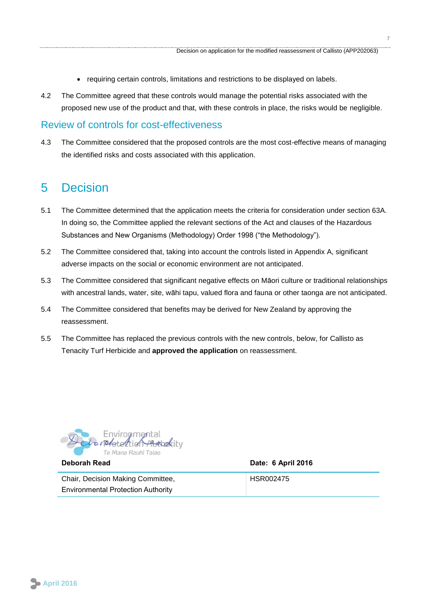- requiring certain controls, limitations and restrictions to be displayed on labels.
- 4.2 The Committee agreed that these controls would manage the potential risks associated with the proposed new use of the product and that, with these controls in place, the risks would be negligible.

#### Review of controls for cost-effectiveness

4.3 The Committee considered that the proposed controls are the most cost-effective means of managing the identified risks and costs associated with this application.

### <span id="page-6-0"></span>5 Decision

- 5.1 The Committee determined that the application meets the criteria for consideration under section 63A. In doing so, the Committee applied the relevant sections of the Act and clauses of the Hazardous Substances and New Organisms (Methodology) Order 1998 ("the Methodology").
- 5.2 The Committee considered that, taking into account the controls listed in Appendix A, significant adverse impacts on the social or economic environment are not anticipated.
- 5.3 The Committee considered that significant negative effects on Māori culture or traditional relationships with ancestral lands, water, site, wāhi tapu, valued flora and fauna or other taonga are not anticipated.
- 5.4 The Committee considered that benefits may be derived for New Zealand by approving the reassessment.
- 5.5 The Committee has replaced the previous controls with the new controls, below, for Callisto as Tenacity Turf Herbicide and **approved the application** on reassessment.



**Deborah Read Date: 6 April 2016**

Chair, Decision Making Committee, Environmental Protection Authority HSR002475

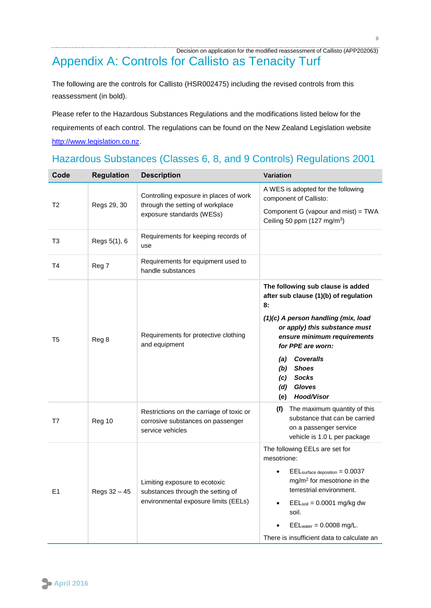### <span id="page-7-0"></span> Decision on application for the modified reassessment of Callisto (APP202063) Appendix A: Controls for Callisto as Tenacity Turf

The following are the controls for Callisto (HSR002475) including the revised controls from this reassessment (in bold).

Please refer to the Hazardous Substances Regulations and the modifications listed below for the requirements of each control. The regulations can be found on the New Zealand Legislation website [http://www.legislation.co.nz.](http://www.legislation.co.nz/)

| Code           | <b>Regulation</b> | <b>Description</b>                                                                                         | <b>Variation</b>                                                                                                                                                                                                                                                                                                                          |
|----------------|-------------------|------------------------------------------------------------------------------------------------------------|-------------------------------------------------------------------------------------------------------------------------------------------------------------------------------------------------------------------------------------------------------------------------------------------------------------------------------------------|
| T <sub>2</sub> | Regs 29, 30       | Controlling exposure in places of work<br>through the setting of workplace<br>exposure standards (WESs)    | A WES is adopted for the following<br>component of Callisto:<br>Component G (vapour and mist) = TWA<br>Ceiling 50 ppm $(127 \text{ mg/m}^3)$                                                                                                                                                                                              |
| T3             | Regs 5(1), 6      | Requirements for keeping records of<br>use                                                                 |                                                                                                                                                                                                                                                                                                                                           |
| Τ4             | Reg 7             | Requirements for equipment used to<br>handle substances                                                    |                                                                                                                                                                                                                                                                                                                                           |
| T <sub>5</sub> | Reg 8             | Requirements for protective clothing<br>and equipment                                                      | The following sub clause is added<br>after sub clause (1)(b) of regulation<br>8:<br>(1)(c) A person handling (mix, load<br>or apply) this substance must<br>ensure minimum requirements<br>for PPE are worn:<br><b>Coveralls</b><br>(a)<br><b>Shoes</b><br>(b)<br><b>Socks</b><br>(c)<br><b>Gloves</b><br>(d)<br><b>Hood/Visor</b><br>(e) |
| T7             | Reg 10            | Restrictions on the carriage of toxic or<br>corrosive substances on passenger<br>service vehicles          | (f) The maximum quantity of this<br>substance that can be carried<br>on a passenger service<br>vehicle is 1.0 L per package                                                                                                                                                                                                               |
| E <sub>1</sub> | Regs 32 - 45      | Limiting exposure to ecotoxic<br>substances through the setting of<br>environmental exposure limits (EELs) | The following EELs are set for<br>mesotrione:<br>$EELsurface$ deposition = $0.0037$<br>mg/m <sup>2</sup> for mesotrione in the<br>terrestrial environment.<br>$EELsoil = 0.0001$ mg/kg dw<br>soil.<br>$EEL_{water} = 0.0008$ mg/L.<br>There is insufficient data to calculate an                                                          |

## Hazardous Substances (Classes 6, 8, and 9 Controls) Regulations 2001

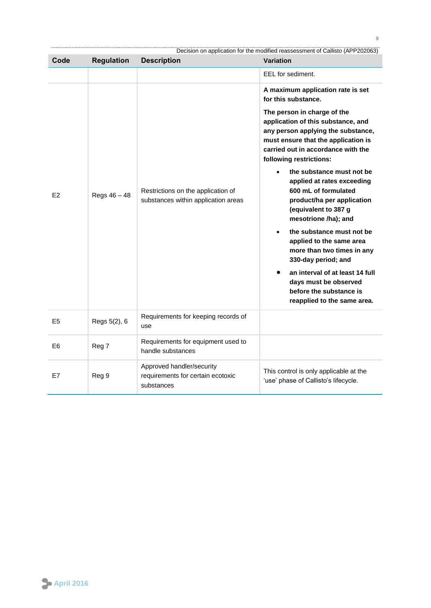|                |                   |                                                                              | Decision on application for the modified reassessment of Callisto (APP202063)                                                                                                                                                                                                                                                                                                                                                                                                                                                                                                                                                                                                                 |
|----------------|-------------------|------------------------------------------------------------------------------|-----------------------------------------------------------------------------------------------------------------------------------------------------------------------------------------------------------------------------------------------------------------------------------------------------------------------------------------------------------------------------------------------------------------------------------------------------------------------------------------------------------------------------------------------------------------------------------------------------------------------------------------------------------------------------------------------|
| Code           | <b>Regulation</b> | <b>Description</b>                                                           | <b>Variation</b>                                                                                                                                                                                                                                                                                                                                                                                                                                                                                                                                                                                                                                                                              |
|                |                   |                                                                              | EEL for sediment.                                                                                                                                                                                                                                                                                                                                                                                                                                                                                                                                                                                                                                                                             |
| E2             | Regs 46 - 48      | Restrictions on the application of<br>substances within application areas    | A maximum application rate is set<br>for this substance.<br>The person in charge of the<br>application of this substance, and<br>any person applying the substance,<br>must ensure that the application is<br>carried out in accordance with the<br>following restrictions:<br>the substance must not be<br>applied at rates exceeding<br>600 mL of formulated<br>product/ha per application<br>(equivalent to 387 g<br>mesotrione /ha); and<br>the substance must not be<br>$\bullet$<br>applied to the same area<br>more than two times in any<br>330-day period; and<br>an interval of at least 14 full<br>days must be observed<br>before the substance is<br>reapplied to the same area. |
| E <sub>5</sub> | Regs 5(2), 6      | Requirements for keeping records of<br>use                                   |                                                                                                                                                                                                                                                                                                                                                                                                                                                                                                                                                                                                                                                                                               |
| E6             | Reg 7             | Requirements for equipment used to<br>handle substances                      |                                                                                                                                                                                                                                                                                                                                                                                                                                                                                                                                                                                                                                                                                               |
| E7             | Reg 9             | Approved handler/security<br>requirements for certain ecotoxic<br>substances | This control is only applicable at the<br>'use' phase of Callisto's lifecycle.                                                                                                                                                                                                                                                                                                                                                                                                                                                                                                                                                                                                                |

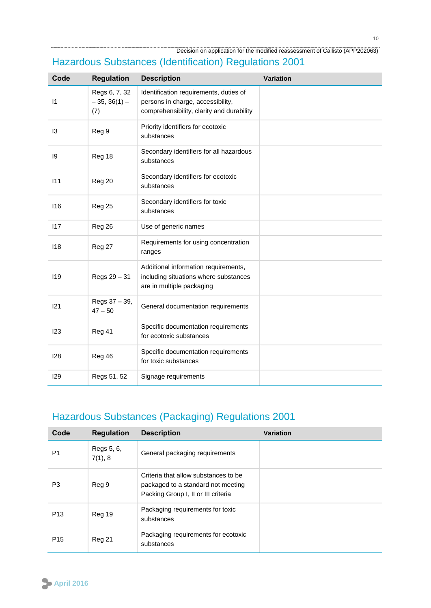Decision on application for the modified reassessment of Callisto (APP202063)

| Code           | <b>Regulation</b>                      | <b>Description</b>                                                                                                       | <b>Variation</b> |
|----------------|----------------------------------------|--------------------------------------------------------------------------------------------------------------------------|------------------|
| $\vert$ 1      | Regs 6, 7, 32<br>$-35, 36(1) -$<br>(7) | Identification requirements, duties of<br>persons in charge, accessibility,<br>comprehensibility, clarity and durability |                  |
| $\overline{3}$ | Reg 9                                  | Priority identifiers for ecotoxic<br>substances                                                                          |                  |
| 19             | Reg 18                                 | Secondary identifiers for all hazardous<br>substances                                                                    |                  |
| 111            | Reg 20                                 | Secondary identifiers for ecotoxic<br>substances                                                                         |                  |
| 116            | Reg 25                                 | Secondary identifiers for toxic<br>substances                                                                            |                  |
| 117            | Reg 26                                 | Use of generic names                                                                                                     |                  |
| 118            | Reg 27                                 | Requirements for using concentration<br>ranges                                                                           |                  |
| 119            | Regs 29 - 31                           | Additional information requirements,<br>including situations where substances<br>are in multiple packaging               |                  |
| 121            | Regs 37 - 39,<br>$47 - 50$             | General documentation requirements                                                                                       |                  |
| 123            | Reg 41                                 | Specific documentation requirements<br>for ecotoxic substances                                                           |                  |
| 128            | Reg 46                                 | Specific documentation requirements<br>for toxic substances                                                              |                  |
| 129            | Regs 51, 52                            | Signage requirements                                                                                                     |                  |

## Hazardous Substances (Identification) Regulations 2001

## Hazardous Substances (Packaging) Regulations 2001

| Code            | <b>Regulation</b>     | <b>Description</b>                                                                                                | Variation |
|-----------------|-----------------------|-------------------------------------------------------------------------------------------------------------------|-----------|
| P <sub>1</sub>  | Regs 5, 6,<br>7(1), 8 | General packaging requirements                                                                                    |           |
| P3              | Reg 9                 | Criteria that allow substances to be<br>packaged to a standard not meeting<br>Packing Group I, II or III criteria |           |
| P <sub>13</sub> | Reg 19                | Packaging requirements for toxic<br>substances                                                                    |           |
| P <sub>15</sub> | Reg 21                | Packaging requirements for ecotoxic<br>substances                                                                 |           |

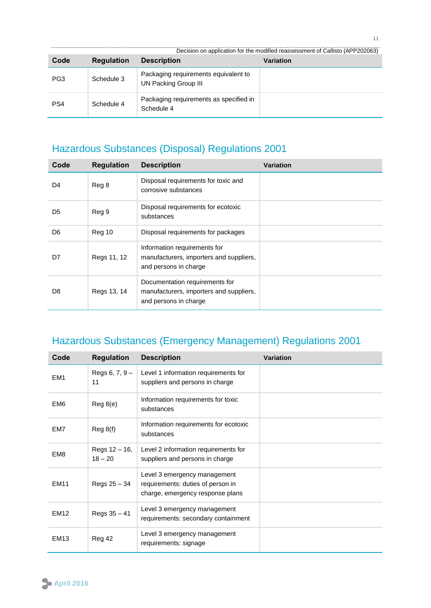|      |                   |                                                              | Decision on application for the modified reassessment of Callisto (APP202063) |
|------|-------------------|--------------------------------------------------------------|-------------------------------------------------------------------------------|
| Code | <b>Regulation</b> | <b>Description</b>                                           | Variation                                                                     |
| PG3  | Schedule 3        | Packaging requirements equivalent to<br>UN Packing Group III |                                                                               |
| PS4  | Schedule 4        | Packaging requirements as specified in<br>Schedule 4         |                                                                               |

## Hazardous Substances (Disposal) Regulations 2001

| Code           | <b>Regulation</b> | <b>Description</b>                                                                                 | <b>Variation</b> |
|----------------|-------------------|----------------------------------------------------------------------------------------------------|------------------|
| D4             | Reg 8             | Disposal requirements for toxic and<br>corrosive substances                                        |                  |
| D5             | Reg 9             | Disposal requirements for ecotoxic<br>substances                                                   |                  |
| D <sub>6</sub> | Reg 10            | Disposal requirements for packages                                                                 |                  |
| D7             | Regs 11, 12       | Information requirements for<br>manufacturers, importers and suppliers,<br>and persons in charge   |                  |
| D8             | Regs 13, 14       | Documentation requirements for<br>manufacturers, importers and suppliers,<br>and persons in charge |                  |

## Hazardous Substances (Emergency Management) Regulations 2001

| Code            | <b>Regulation</b>             | <b>Description</b>                                                                                    | <b>Variation</b> |
|-----------------|-------------------------------|-------------------------------------------------------------------------------------------------------|------------------|
| EM <sub>1</sub> | Regs $6, 7, 9 -$<br>11        | Level 1 information requirements for<br>suppliers and persons in charge                               |                  |
| EM <sub>6</sub> | Reg 8(e)                      | Information requirements for toxic<br>substances                                                      |                  |
| EM7             | Reg 8(f)                      | Information requirements for ecotoxic<br>substances                                                   |                  |
| EM <sub>8</sub> | Regs $12 - 16$ ,<br>$18 - 20$ | Level 2 information requirements for<br>suppliers and persons in charge                               |                  |
| <b>EM11</b>     | Regs 25 - 34                  | Level 3 emergency management<br>requirements: duties of person in<br>charge, emergency response plans |                  |
| <b>EM12</b>     | Regs 35 - 41                  | Level 3 emergency management<br>requirements: secondary containment                                   |                  |
| <b>EM13</b>     | Reg 42                        | Level 3 emergency management<br>requirements: signage                                                 |                  |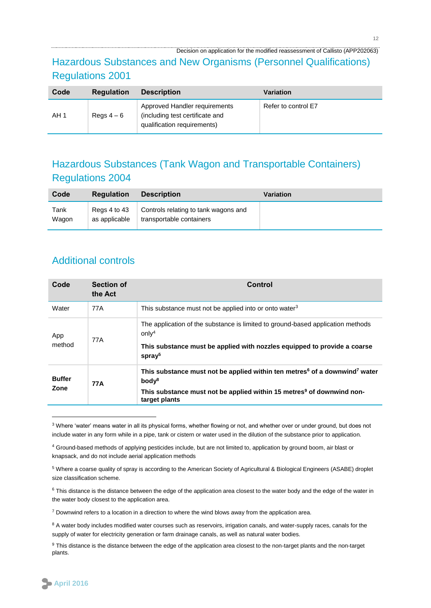#### Decision on application for the modified reassessment of Callisto (APP202063)

### Hazardous Substances and New Organisms (Personnel Qualifications) Regulations 2001

| Code | <b>Regulation</b> | <b>Description</b>                                                                              | <b>Variation</b>    |
|------|-------------------|-------------------------------------------------------------------------------------------------|---------------------|
| AH 1 | Regs $4-6$        | Approved Handler requirements<br>(including test certificate and<br>qualification requirements) | Refer to control E7 |

### Hazardous Substances (Tank Wagon and Transportable Containers) Regulations 2004

| Code  | <b>Regulation</b> | <b>Description</b>                   | Variation |
|-------|-------------------|--------------------------------------|-----------|
| Tank  | Regs 4 to 43      | Controls relating to tank wagons and |           |
| Wagon | as applicable     | transportable containers             |           |

### Additional controls

| Code                  | <b>Section of</b><br>the Act | Control                                                                                                                                                                                                                       |
|-----------------------|------------------------------|-------------------------------------------------------------------------------------------------------------------------------------------------------------------------------------------------------------------------------|
| Water                 | 77A                          | This substance must not be applied into or onto water <sup>3</sup>                                                                                                                                                            |
| App<br>method         | 77A                          | The application of the substance is limited to ground-based application methods<br>only <sup>4</sup><br>This substance must be applied with nozzles equipped to provide a coarse<br>spray <sup>5</sup>                        |
| <b>Buffer</b><br>Zone | 77A                          | This substance must not be applied within ten metres <sup>6</sup> of a downwind <sup>7</sup> water<br>body <sup>8</sup><br>This substance must not be applied within 15 metres <sup>9</sup> of downwind non-<br>target plants |

<sup>&</sup>lt;sup>3</sup> Where 'water' means water in all its physical forms, whether flowing or not, and whether over or under ground, but does not include water in any form while in a pipe, tank or cistern or water used in the dilution of the substance prior to application.

 $7$  Downwind refers to a location in a direction to where the wind blows away from the application area.

1

<sup>4</sup> Ground-based methods of applying pesticides include, but are not limited to, application by ground boom, air blast or knapsack, and do not include aerial application methods

<sup>5</sup> Where a coarse quality of spray is according to the American Society of Agricultural & Biological Engineers (ASABE) droplet size classification scheme.

<sup>6</sup> This distance is the distance between the edge of the application area closest to the water body and the edge of the water in the water body closest to the application area.

<sup>&</sup>lt;sup>8</sup> A water body includes modified water courses such as reservoirs, irrigation canals, and water-supply races, canals for the supply of water for electricity generation or farm drainage canals, as well as natural water bodies.

<sup>&</sup>lt;sup>9</sup> This distance is the distance between the edge of the application area closest to the non-target plants and the non-target plants.